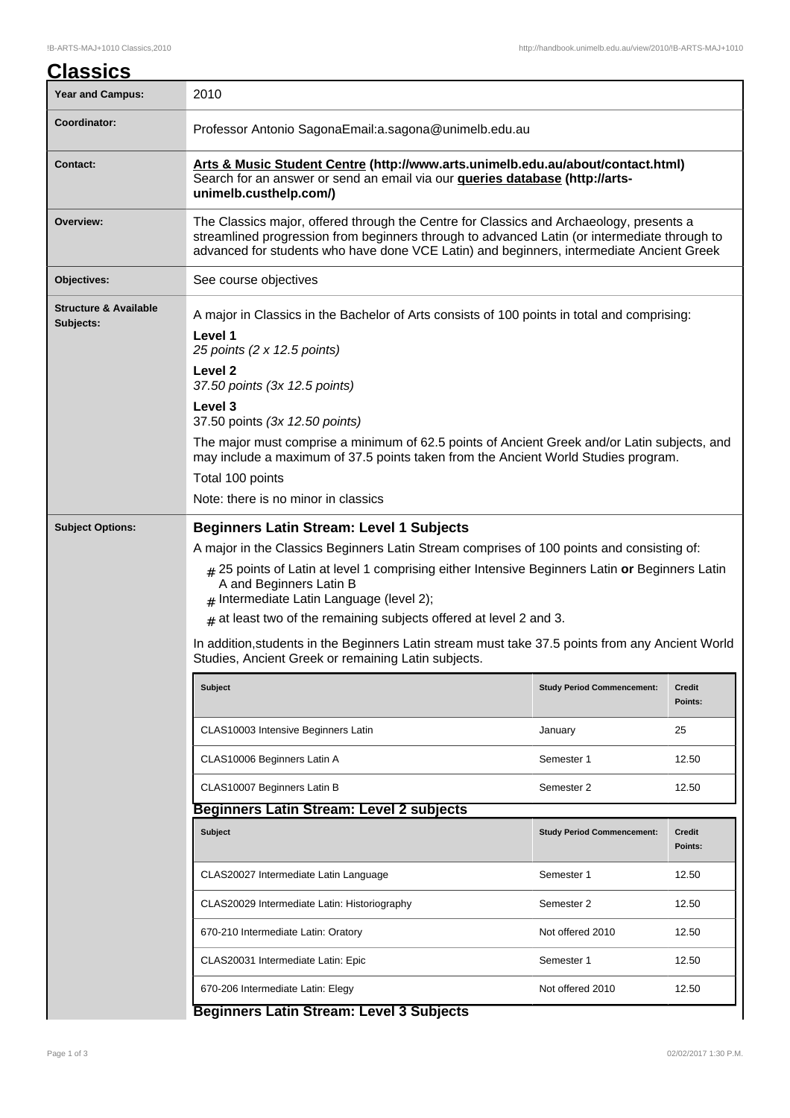| <u>Classics</u>                               |                                                                                                                                                                                                                                                                                     |                                   |                          |  |  |
|-----------------------------------------------|-------------------------------------------------------------------------------------------------------------------------------------------------------------------------------------------------------------------------------------------------------------------------------------|-----------------------------------|--------------------------|--|--|
| <b>Year and Campus:</b>                       | 2010                                                                                                                                                                                                                                                                                |                                   |                          |  |  |
| Coordinator:                                  | Professor Antonio SagonaEmail:a.sagona@unimelb.edu.au                                                                                                                                                                                                                               |                                   |                          |  |  |
| Contact:                                      | Arts & Music Student Centre (http://www.arts.unimelb.edu.au/about/contact.html)<br>Search for an answer or send an email via our <b>queries database (http://arts-</b><br>unimelb.custhelp.com/)                                                                                    |                                   |                          |  |  |
| Overview:                                     | The Classics major, offered through the Centre for Classics and Archaeology, presents a<br>streamlined progression from beginners through to advanced Latin (or intermediate through to<br>advanced for students who have done VCE Latin) and beginners, intermediate Ancient Greek |                                   |                          |  |  |
| Objectives:                                   | See course objectives                                                                                                                                                                                                                                                               |                                   |                          |  |  |
| <b>Structure &amp; Available</b><br>Subjects: | A major in Classics in the Bachelor of Arts consists of 100 points in total and comprising:<br>Level 1<br>25 points (2 x 12.5 points)                                                                                                                                               |                                   |                          |  |  |
|                                               | Level <sub>2</sub><br>37.50 points (3x 12.5 points)                                                                                                                                                                                                                                 |                                   |                          |  |  |
|                                               | Level 3<br>37.50 points (3x 12.50 points)                                                                                                                                                                                                                                           |                                   |                          |  |  |
|                                               | The major must comprise a minimum of 62.5 points of Ancient Greek and/or Latin subjects, and<br>may include a maximum of 37.5 points taken from the Ancient World Studies program.                                                                                                  |                                   |                          |  |  |
|                                               | Total 100 points                                                                                                                                                                                                                                                                    |                                   |                          |  |  |
|                                               | Note: there is no minor in classics                                                                                                                                                                                                                                                 |                                   |                          |  |  |
| <b>Subject Options:</b>                       | <b>Beginners Latin Stream: Level 1 Subjects</b>                                                                                                                                                                                                                                     |                                   |                          |  |  |
|                                               | A major in the Classics Beginners Latin Stream comprises of 100 points and consisting of:                                                                                                                                                                                           |                                   |                          |  |  |
|                                               | # 25 points of Latin at level 1 comprising either Intensive Beginners Latin or Beginners Latin<br>A and Beginners Latin B<br>$#$ Intermediate Latin Language (level 2);                                                                                                             |                                   |                          |  |  |
|                                               | $#$ at least two of the remaining subjects offered at level 2 and 3.                                                                                                                                                                                                                |                                   |                          |  |  |
|                                               | In addition, students in the Beginners Latin stream must take 37.5 points from any Ancient World<br>Studies, Ancient Greek or remaining Latin subjects.                                                                                                                             |                                   |                          |  |  |
|                                               | <b>Subject</b>                                                                                                                                                                                                                                                                      | <b>Study Period Commencement:</b> | <b>Credit</b><br>Points: |  |  |
|                                               | CLAS10003 Intensive Beginners Latin                                                                                                                                                                                                                                                 | January                           | 25                       |  |  |
|                                               | CLAS10006 Beginners Latin A                                                                                                                                                                                                                                                         | Semester 1                        | 12.50                    |  |  |
|                                               | CLAS10007 Beginners Latin B                                                                                                                                                                                                                                                         | Semester 2                        | 12.50                    |  |  |
|                                               | <b>Beginners Latin Stream: Level 2 subjects</b>                                                                                                                                                                                                                                     |                                   |                          |  |  |
|                                               | <b>Subject</b>                                                                                                                                                                                                                                                                      | <b>Study Period Commencement:</b> | <b>Credit</b><br>Points: |  |  |
|                                               | CLAS20027 Intermediate Latin Language                                                                                                                                                                                                                                               | Semester 1                        | 12.50                    |  |  |
|                                               | CLAS20029 Intermediate Latin: Historiography                                                                                                                                                                                                                                        | Semester 2                        | 12.50                    |  |  |
|                                               | 670-210 Intermediate Latin: Oratory                                                                                                                                                                                                                                                 | Not offered 2010                  | 12.50                    |  |  |
|                                               | CLAS20031 Intermediate Latin: Epic                                                                                                                                                                                                                                                  | Semester 1                        | 12.50                    |  |  |
|                                               | 670-206 Intermediate Latin: Elegy                                                                                                                                                                                                                                                   | Not offered 2010                  | 12.50                    |  |  |

**Beginners Latin Stream: Level 3 Subjects**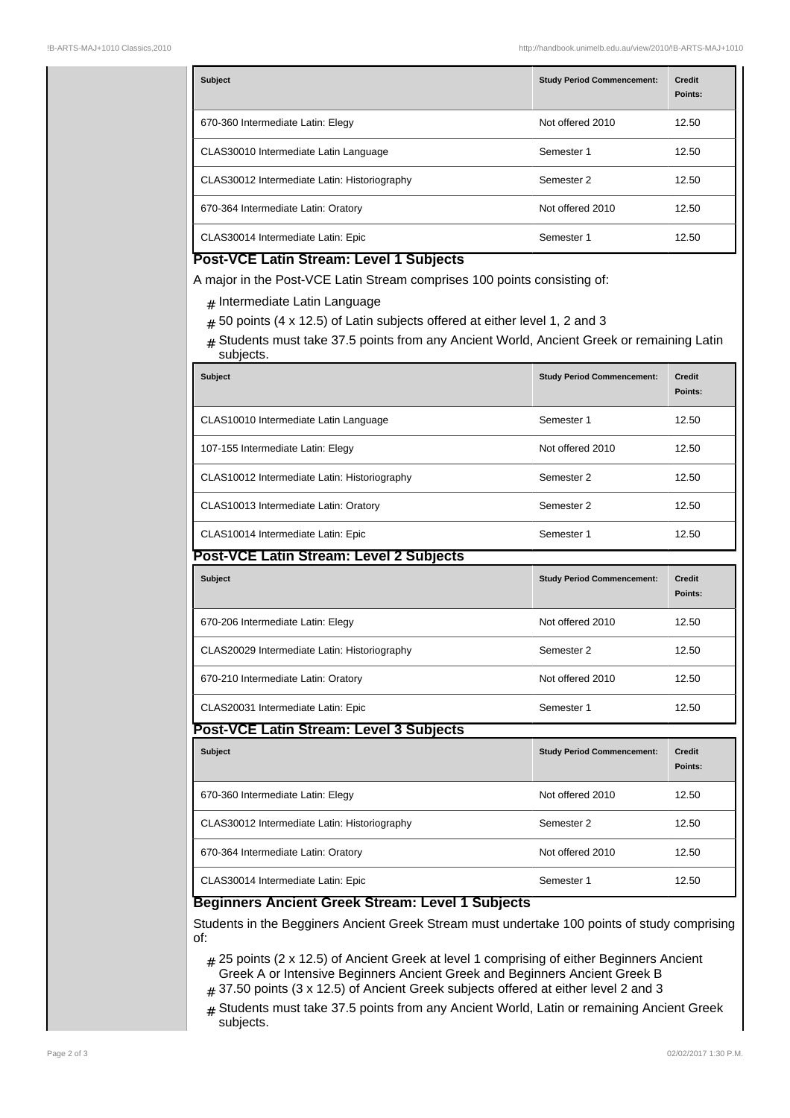| <b>Subject</b>                               | <b>Study Period Commencement:</b> | <b>Credit</b><br>Points: |
|----------------------------------------------|-----------------------------------|--------------------------|
| 670-360 Intermediate Latin: Elegy            | Not offered 2010                  | 12.50                    |
| CLAS30010 Intermediate Latin Language        | Semester 1                        | 12.50                    |
| CLAS30012 Intermediate Latin: Historiography | Semester 2                        | 12.50                    |
| 670-364 Intermediate Latin: Oratory          | Not offered 2010                  | 12.50                    |
| CLAS30014 Intermediate Latin: Epic           | Semester 1                        | 12.50                    |

## **Post-VCE Latin Stream: Level 1 Subjects**

A major in the Post-VCE Latin Stream comprises 100 points consisting of:

- $_{\#}$  Intermediate Latin Language
- $_{\#}$  50 points (4 x 12.5) of Latin subjects offered at either level 1, 2 and 3
- $#$  Students must take 37.5 points from any Ancient World, Ancient Greek or remaining Latin subjects.

| <b>Subject</b>                               | <b>Study Period Commencement:</b> | <b>Credit</b><br>Points: |  |  |  |
|----------------------------------------------|-----------------------------------|--------------------------|--|--|--|
| CLAS10010 Intermediate Latin Language        | Semester 1                        | 12.50                    |  |  |  |
| 107-155 Intermediate Latin: Elegy            | Not offered 2010                  | 12.50                    |  |  |  |
| CLAS10012 Intermediate Latin: Historiography | Semester 2                        | 12.50                    |  |  |  |
| CLAS10013 Intermediate Latin: Oratory        | Semester 2                        | 12.50                    |  |  |  |
| CLAS10014 Intermediate Latin: Epic           | Semester 1                        | 12.50                    |  |  |  |
| Post-VCE Latin Stream: Level 2 Subjects      |                                   |                          |  |  |  |
| <b>Subject</b>                               | <b>Study Period Commencement:</b> | <b>Credit</b><br>Points: |  |  |  |
| 670-206 Intermediate Latin: Elegy            | Not offered 2010                  | 12.50                    |  |  |  |
| CLAS20029 Intermediate Latin: Historiography | Semester 2                        | 12.50                    |  |  |  |
| 670-210 Intermediate Latin: Oratory          | Not offered 2010                  | 12.50                    |  |  |  |
| CLAS20031 Intermediate Latin: Epic           | Semester 1                        | 12.50                    |  |  |  |
| Post-VCE Latin Stream: Level 3 Subjects      |                                   |                          |  |  |  |
| <b>Subject</b>                               | <b>Study Period Commencement:</b> | <b>Credit</b><br>Points: |  |  |  |
| 670-360 Intermediate Latin: Elegy            | Not offered 2010                  | 12.50                    |  |  |  |
| CLAS30012 Intermediate Latin: Historiography | Semester 2                        | 12.50                    |  |  |  |
| 670-364 Intermediate Latin: Oratory          | Not offered 2010                  | 12.50                    |  |  |  |
| CLAS30014 Intermediate Latin: Epic           | Semester 1                        | 12.50                    |  |  |  |

## **Beginners Ancient Greek Stream: Level 1 Subjects**

Students in the Begginers Ancient Greek Stream must undertake 100 points of study comprising of:

- # 25 points (2 x 12.5) of Ancient Greek at level 1 comprising of either Beginners Ancient Greek A or Intensive Beginners Ancient Greek and Beginners Ancient Greek B
- $_{\#}$  37.50 points (3 x 12.5) of Ancient Greek subjects offered at either level 2 and 3
- $#$  Students must take 37.5 points from any Ancient World, Latin or remaining Ancient Greek subjects.